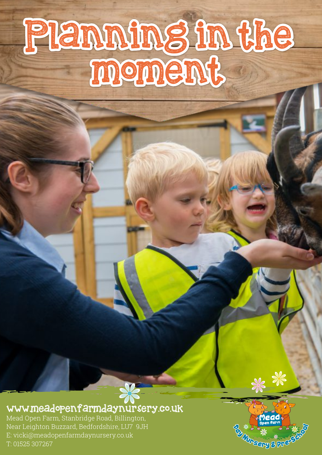# Planning in the moment.

#### www.meadopenfarmdaynursery.co.uk

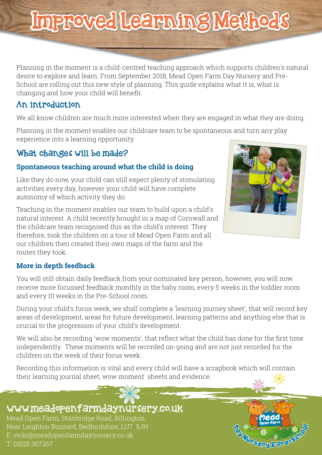## Improved Learning Methods

Planning in the moment is a child-centred teaching approach which supports children's natural desire to explore and learn. From September 2018, Mead Open Farm Day Nursery and Pre-School are rolling out this new style of planning. This guide explains what it is, what is changing and how your child will benefit.

#### An introduction

We all know children are much more interested when they are engaged in what they are doing.

Planning in the moment enables our childcare team to be spontaneous and turn any play experience into a learning opportunity.

#### What changes will be made?

#### **Spontaneous teaching around what the child is doing**

Like they do now, your child can still expect plenty of stimulating activities every day, however your child will have complete autonomy of which activity they do.

Teaching in the moment enables our team to build upon a child's natural interest. A child recently brought in a map of Cornwall and the childcare team recognised this as the child's interest. They therefore, took the children on a tour of Mead Open Farm and all our children then created their own maps of the farm and the routes they took.



**ADA SURFERED** 

#### **More in depth feedback**

You will still obtain daily feedback from your nominated key person, however, you will now receive more focussed feedback monthly in the baby room, every 5 weeks in the toddler room and every 10 weeks in the Pre-School room.

During your child's focus week, we shall complete a 'learning journey sheet', that will record key areas of development, areas for future development, learning patterns and anything else that is crucial to the progression of your child's development.

We will also be recording 'wow moments', that reflect what the child has done for the first time independently. These moments will be recorded on-going and are not just recorded for the children on the week of their focus week.

Recording this information is vital and every child will have a scrapbook which will contain their learning journal sheet, wow moment sheets and evidence.

#### www.meadopenfarmdaynursery.co.uk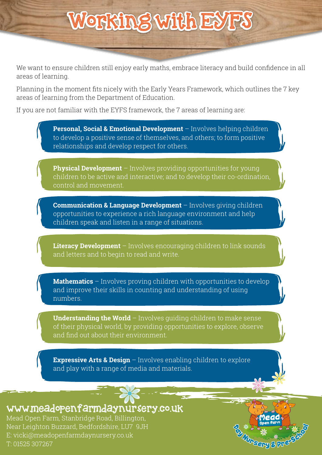# Working with EYFS

We want to ensure children still enjoy early maths, embrace literacy and build confidence in all areas of learning.

Planning in the moment fits nicely with the Early Years Framework, which outlines the 7 key areas of learning from the Department of Education.

If you are not familiar with the EYFS framework, the 7 areas of learning are:

**Personal, Social & Emotional Development** – Involves helping children to develop a positive sense of themselves, and others; to form positive relationships and develop respect for others. **Physical Development** – Involves providing opportunities for young children to be active and interactive; and to develop their co-ordination, control and movement. **Communication & Language Development** – Involves giving children opportunities to experience a rich language environment and help children speak and listen in a range of situations. **Literacy Development** – Involves encouraging children to link sounds and letters and to begin to read and write. **Mathematics** – Involves proving children with opportunities to develop and improve their skills in counting and understanding of using numbers. **Understanding the World** – Involves quiding children to make sense of their physical world, by providing opportunities to explore, observe and find out about their environment. **Expressive Arts & Design** – Involves enabling children to explore and play with a range of media and materials. REAL PROPERTY OF

www.meadopenfarmdaynursery.co.uk